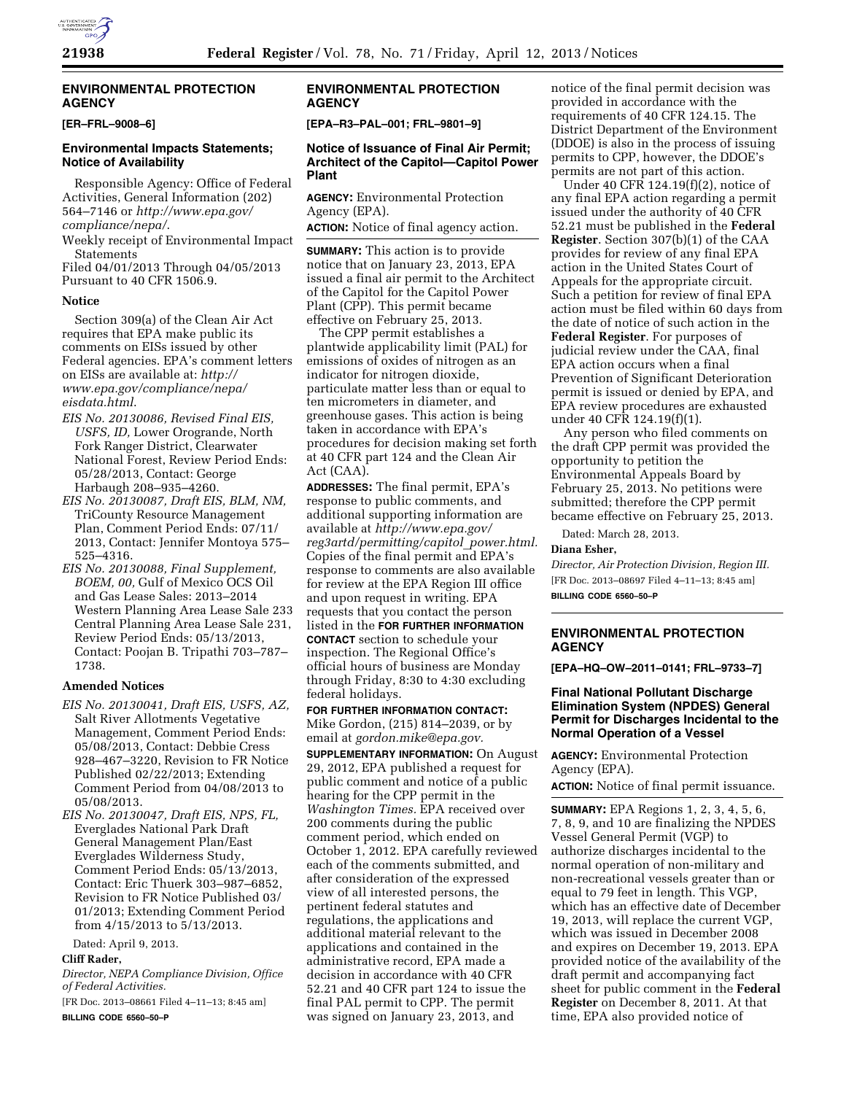

# **ENVIRONMENTAL PROTECTION AGENCY**

**[ER–FRL–9008–6]** 

## **Environmental Impacts Statements; Notice of Availability**

Responsible Agency: Office of Federal Activities, General Information (202) 564–7146 or *[http://www.epa.gov/](http://www.epa.gov/compliance/nepa/) [compliance/nepa/](http://www.epa.gov/compliance/nepa/)*.

Weekly receipt of Environmental Impact Statements

Filed 04/01/2013 Through 04/05/2013 Pursuant to 40 CFR 1506.9.

### **Notice**

Section 309(a) of the Clean Air Act requires that EPA make public its comments on EISs issued by other Federal agencies. EPA's comment letters on EISs are available at: *[http://](http://www.epa.gov/compliance/nepa/eisdata.html)  [www.epa.gov/compliance/nepa/](http://www.epa.gov/compliance/nepa/eisdata.html)  eisdata.html*.

- *EIS No. 20130086, Revised Final EIS, USFS, ID,* Lower Orogrande, North Fork Ranger District, Clearwater National Forest, Review Period Ends: 05/28/2013, Contact: George Harbaugh 208–935–4260.
- *EIS No. 20130087, Draft EIS, BLM, NM,*  TriCounty Resource Management Plan, Comment Period Ends: 07/11/ 2013, Contact: Jennifer Montoya 575– 525–4316.
- *EIS No. 20130088, Final Supplement, BOEM, 00,* Gulf of Mexico OCS Oil and Gas Lease Sales: 2013–2014 Western Planning Area Lease Sale 233 Central Planning Area Lease Sale 231, Review Period Ends: 05/13/2013, Contact: Poojan B. Tripathi 703–787– 1738.

### **Amended Notices**

- *EIS No. 20130041, Draft EIS, USFS, AZ,*  Salt River Allotments Vegetative Management, Comment Period Ends: 05/08/2013, Contact: Debbie Cress 928–467–3220, Revision to FR Notice Published 02/22/2013; Extending Comment Period from 04/08/2013 to 05/08/2013.
- *EIS No. 20130047, Draft EIS, NPS, FL,*  Everglades National Park Draft General Management Plan/East Everglades Wilderness Study, Comment Period Ends: 05/13/2013, Contact: Eric Thuerk 303–987–6852, Revision to FR Notice Published 03/ 01/2013; Extending Comment Period from 4/15/2013 to 5/13/2013.

Dated: April 9, 2013.

# **Cliff Rader,**

*Director, NEPA Compliance Division, Office of Federal Activities.* 

[FR Doc. 2013–08661 Filed 4–11–13; 8:45 am] **BILLING CODE 6560–50–P** 

# **ENVIRONMENTAL PROTECTION AGENCY**

**[EPA–R3–PAL–001; FRL–9801–9]** 

## **Notice of Issuance of Final Air Permit; Architect of the Capitol—Capitol Power Plant**

**AGENCY:** Environmental Protection Agency (EPA).

**ACTION:** Notice of final agency action.

**SUMMARY:** This action is to provide notice that on January 23, 2013, EPA issued a final air permit to the Architect of the Capitol for the Capitol Power Plant (CPP). This permit became effective on February 25, 2013.

The CPP permit establishes a plantwide applicability limit (PAL) for emissions of oxides of nitrogen as an indicator for nitrogen dioxide, particulate matter less than or equal to ten micrometers in diameter, and greenhouse gases. This action is being taken in accordance with EPA's procedures for decision making set forth at 40 CFR part 124 and the Clean Air Act (CAA).

**ADDRESSES:** The final permit, EPA's response to public comments, and additional supporting information are available at *[http://www.epa.gov/](http://www.epa.gov/reg3artd/permitting/capitol_power.html) [reg3artd/permitting/capitol](http://www.epa.gov/reg3artd/permitting/capitol_power.html)*\_*power.html.*  Copies of the final permit and EPA's response to comments are also available for review at the EPA Region III office and upon request in writing. EPA requests that you contact the person listed in the **FOR FURTHER INFORMATION CONTACT** section to schedule your inspection. The Regional Office's official hours of business are Monday through Friday, 8:30 to 4:30 excluding federal holidays.

**FOR FURTHER INFORMATION CONTACT:**  Mike Gordon, (215) 814–2039, or by email at *[gordon.mike@epa.gov.](mailto:gordon.mike@epa.gov)* 

**SUPPLEMENTARY INFORMATION:** On August 29, 2012, EPA published a request for public comment and notice of a public hearing for the CPP permit in the *Washington Times.* EPA received over 200 comments during the public comment period, which ended on October 1, 2012. EPA carefully reviewed each of the comments submitted, and after consideration of the expressed view of all interested persons, the pertinent federal statutes and regulations, the applications and additional material relevant to the applications and contained in the administrative record, EPA made a decision in accordance with 40 CFR 52.21 and 40 CFR part 124 to issue the final PAL permit to CPP. The permit was signed on January 23, 2013, and

notice of the final permit decision was provided in accordance with the requirements of 40 CFR 124.15. The District Department of the Environment (DDOE) is also in the process of issuing permits to CPP, however, the DDOE's permits are not part of this action.

Under 40 CFR 124.19(f)(2), notice of any final EPA action regarding a permit issued under the authority of 40 CFR 52.21 must be published in the **Federal Register**. Section 307(b)(1) of the CAA provides for review of any final EPA action in the United States Court of Appeals for the appropriate circuit. Such a petition for review of final EPA action must be filed within 60 days from the date of notice of such action in the **Federal Register**. For purposes of judicial review under the CAA, final EPA action occurs when a final Prevention of Significant Deterioration permit is issued or denied by EPA, and EPA review procedures are exhausted under 40 CFR 124.19(f)(1).

Any person who filed comments on the draft CPP permit was provided the opportunity to petition the Environmental Appeals Board by February 25, 2013. No petitions were submitted; therefore the CPP permit became effective on February 25, 2013.

Dated: March 28, 2013.

#### **Diana Esher,**

*Director, Air Protection Division, Region III.*  [FR Doc. 2013–08697 Filed 4–11–13; 8:45 am] **BILLING CODE 6560–50–P** 

# **ENVIRONMENTAL PROTECTION AGENCY**

**[EPA–HQ–OW–2011–0141; FRL–9733–7]** 

# **Final National Pollutant Discharge Elimination System (NPDES) General Permit for Discharges Incidental to the Normal Operation of a Vessel**

**AGENCY:** Environmental Protection Agency (EPA).

**ACTION:** Notice of final permit issuance.

**SUMMARY:** EPA Regions 1, 2, 3, 4, 5, 6, 7, 8, 9, and 10 are finalizing the NPDES Vessel General Permit (VGP) to authorize discharges incidental to the normal operation of non-military and non-recreational vessels greater than or equal to 79 feet in length. This VGP, which has an effective date of December 19, 2013, will replace the current VGP, which was issued in December 2008 and expires on December 19, 2013. EPA provided notice of the availability of the draft permit and accompanying fact sheet for public comment in the **Federal Register** on December 8, 2011. At that time, EPA also provided notice of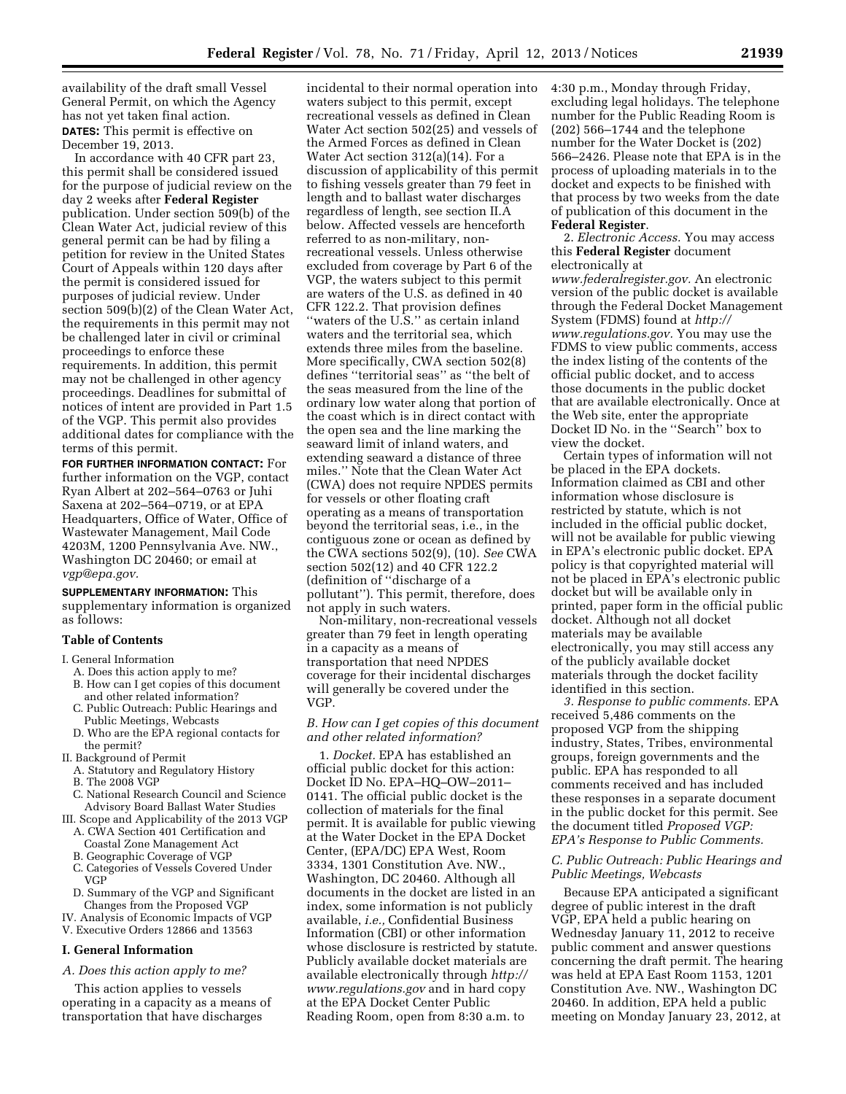availability of the draft small Vessel General Permit, on which the Agency has not yet taken final action. **DATES:** This permit is effective on December 19, 2013.

In accordance with 40 CFR part 23, this permit shall be considered issued for the purpose of judicial review on the day 2 weeks after **Federal Register**  publication. Under section 509(b) of the Clean Water Act, judicial review of this general permit can be had by filing a petition for review in the United States Court of Appeals within 120 days after the permit is considered issued for purposes of judicial review. Under section 509(b)(2) of the Clean Water Act, the requirements in this permit may not be challenged later in civil or criminal proceedings to enforce these requirements. In addition, this permit may not be challenged in other agency proceedings. Deadlines for submittal of notices of intent are provided in Part 1.5 of the VGP. This permit also provides additional dates for compliance with the terms of this permit.

**FOR FURTHER INFORMATION CONTACT:** For further information on the VGP, contact Ryan Albert at 202–564–0763 or Juhi Saxena at 202–564–0719, or at EPA Headquarters, Office of Water, Office of Wastewater Management, Mail Code 4203M, 1200 Pennsylvania Ave. NW., Washington DC 20460; or email at *[vgp@epa.gov.](mailto:vgp@epa.gov)* 

### **SUPPLEMENTARY INFORMATION:** This supplementary information is organized as follows:

#### **Table of Contents**

- I. General Information
- A. Does this action apply to me?
- B. How can I get copies of this document and other related information?
- C. Public Outreach: Public Hearings and Public Meetings, Webcasts D. Who are the EPA regional contacts for
- the permit?
- II. Background of Permit
	- A. Statutory and Regulatory History
	- B. The 2008 VGP
	- C. National Research Council and Science Advisory Board Ballast Water Studies
- III. Scope and Applicability of the 2013 VGP A. CWA Section 401 Certification and
	- Coastal Zone Management Act
	- B. Geographic Coverage of VGP
	- C. Categories of Vessels Covered Under VGP
	- D. Summary of the VGP and Significant Changes from the Proposed VGP
- IV. Analysis of Economic Impacts of VGP
- V. Executive Orders 12866 and 13563

#### **I. General Information**

# *A. Does this action apply to me?*

This action applies to vessels operating in a capacity as a means of transportation that have discharges

incidental to their normal operation into waters subject to this permit, except recreational vessels as defined in Clean Water Act section 502(25) and vessels of the Armed Forces as defined in Clean Water Act section 312(a)(14). For a discussion of applicability of this permit to fishing vessels greater than 79 feet in length and to ballast water discharges regardless of length, see section II.A below. Affected vessels are henceforth referred to as non-military, nonrecreational vessels. Unless otherwise excluded from coverage by Part 6 of the VGP, the waters subject to this permit are waters of the U.S. as defined in 40 CFR 122.2. That provision defines 'waters of the U.S." as certain inland waters and the territorial sea, which extends three miles from the baseline. More specifically, CWA section 502(8) defines ''territorial seas'' as ''the belt of the seas measured from the line of the ordinary low water along that portion of the coast which is in direct contact with the open sea and the line marking the seaward limit of inland waters, and extending seaward a distance of three miles.'' Note that the Clean Water Act (CWA) does not require NPDES permits for vessels or other floating craft operating as a means of transportation beyond the territorial seas, i.e., in the contiguous zone or ocean as defined by the CWA sections 502(9), (10). *See* CWA section 502(12) and 40 CFR 122.2 (definition of ''discharge of a pollutant''). This permit, therefore, does not apply in such waters.

Non-military, non-recreational vessels greater than 79 feet in length operating in a capacity as a means of transportation that need NPDES coverage for their incidental discharges will generally be covered under the VGP.

#### *B. How can I get copies of this document and other related information?*

1. *Docket.* EPA has established an official public docket for this action: Docket ID No. EPA–HQ–OW–2011– 0141. The official public docket is the collection of materials for the final permit. It is available for public viewing at the Water Docket in the EPA Docket Center, (EPA/DC) EPA West, Room 3334, 1301 Constitution Ave. NW., Washington, DC 20460. Although all documents in the docket are listed in an index, some information is not publicly available, *i.e.,* Confidential Business Information (CBI) or other information whose disclosure is restricted by statute. Publicly available docket materials are available electronically through *[http://](http://www.regulations.gov)  [www.regulations.gov](http://www.regulations.gov)* and in hard copy at the EPA Docket Center Public Reading Room, open from 8:30 a.m. to

4:30 p.m., Monday through Friday, excluding legal holidays. The telephone number for the Public Reading Room is (202) 566–1744 and the telephone number for the Water Docket is (202) 566–2426. Please note that EPA is in the process of uploading materials in to the docket and expects to be finished with that process by two weeks from the date of publication of this document in the **Federal Register**.

2. *Electronic Access.* You may access this **Federal Register** document electronically at *[www.federalregister.gov.](http://www.federalregister.gov)* An electronic version of the public docket is available through the Federal Docket Management System (FDMS) found at *[http://](http://www.regulations.gov)* 

*[www.regulations.gov.](http://www.regulations.gov)* You may use the FDMS to view public comments, access the index listing of the contents of the official public docket, and to access those documents in the public docket that are available electronically. Once at the Web site, enter the appropriate Docket ID No. in the ''Search'' box to view the docket.

Certain types of information will not be placed in the EPA dockets. Information claimed as CBI and other information whose disclosure is restricted by statute, which is not included in the official public docket, will not be available for public viewing in EPA's electronic public docket. EPA policy is that copyrighted material will not be placed in EPA's electronic public docket but will be available only in printed, paper form in the official public docket. Although not all docket materials may be available electronically, you may still access any of the publicly available docket materials through the docket facility identified in this section.

*3. Response to public comments.* EPA received 5,486 comments on the proposed VGP from the shipping industry, States, Tribes, environmental groups, foreign governments and the public. EPA has responded to all comments received and has included these responses in a separate document in the public docket for this permit. See the document titled *Proposed VGP: EPA's Response to Public Comments.* 

# *C. Public Outreach: Public Hearings and Public Meetings, Webcasts*

Because EPA anticipated a significant degree of public interest in the draft VGP, EPA held a public hearing on Wednesday January 11, 2012 to receive public comment and answer questions concerning the draft permit. The hearing was held at EPA East Room 1153, 1201 Constitution Ave. NW., Washington DC 20460. In addition, EPA held a public meeting on Monday January 23, 2012, at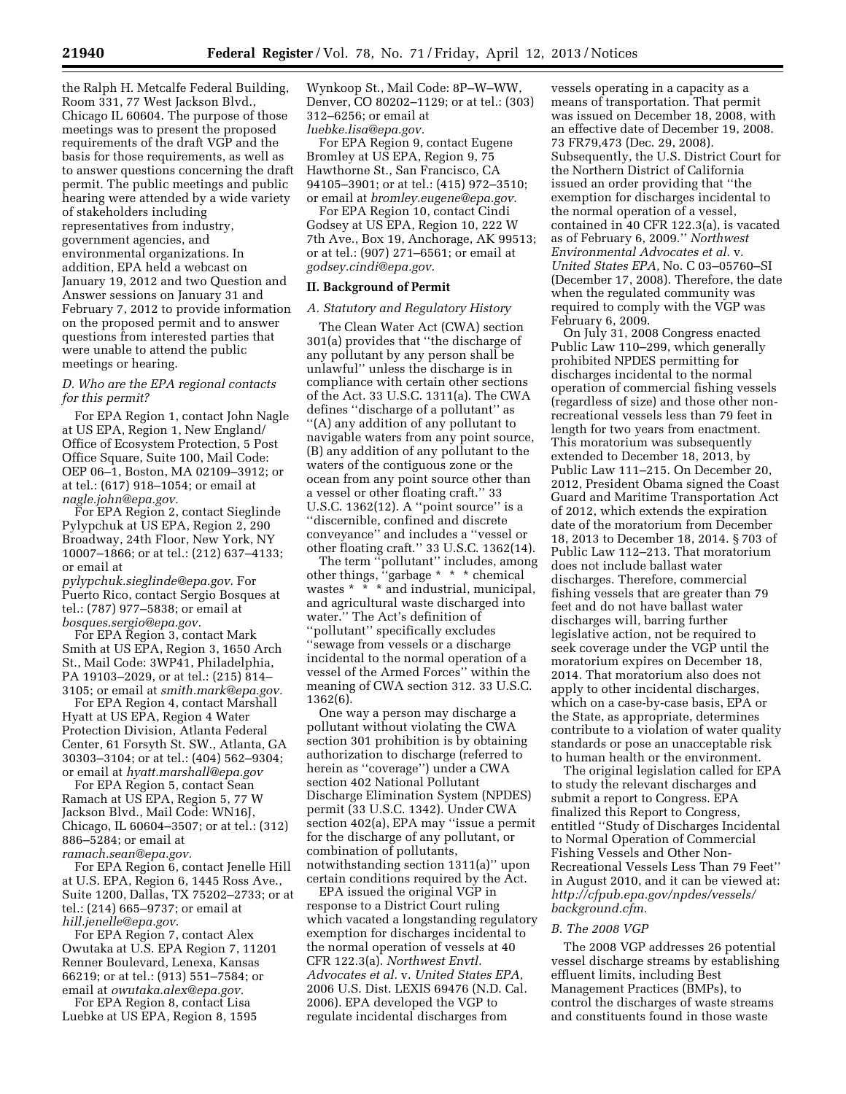the Ralph H. Metcalfe Federal Building, Room 331, 77 West Jackson Blvd., Chicago IL 60604. The purpose of those meetings was to present the proposed requirements of the draft VGP and the basis for those requirements, as well as to answer questions concerning the draft permit. The public meetings and public hearing were attended by a wide variety of stakeholders including representatives from industry, government agencies, and environmental organizations. In addition, EPA held a webcast on January 19, 2012 and two Question and Answer sessions on January 31 and February 7, 2012 to provide information on the proposed permit and to answer questions from interested parties that were unable to attend the public meetings or hearing.

# *D. Who are the EPA regional contacts for this permit?*

For EPA Region 1, contact John Nagle at US EPA, Region 1, New England/ Office of Ecosystem Protection, 5 Post Office Square, Suite 100, Mail Code: OEP 06–1, Boston, MA 02109–3912; or at tel.: (617) 918–1054; or email at *[nagle.john@epa.gov.](mailto:nagle.john@epa.gov)* 

For EPA Region 2, contact Sieglinde Pylypchuk at US EPA, Region 2, 290 Broadway, 24th Floor, New York, NY 10007–1866; or at tel.: (212) 637–4133; or email at

*[pylypchuk.sieglinde@epa.gov.](mailto:pylypchuk.sieglinde@epa.gov)* For Puerto Rico, contact Sergio Bosques at tel.: (787) 977–5838; or email at *[bosques.sergio@epa.gov.](mailto:bosques.sergio@epa.gov)* 

For EPA Region 3, contact Mark Smith at US EPA, Region 3, 1650 Arch St., Mail Code: 3WP41, Philadelphia, PA 19103–2029, or at tel.: (215) 814– 3105; or email at *[smith.mark@epa.gov.](mailto:smith.mark@epa.gov)* 

For EPA Region 4, contact Marshall Hyatt at US EPA, Region 4 Water Protection Division, Atlanta Federal Center, 61 Forsyth St. SW., Atlanta, GA 30303–3104; or at tel.: (404) 562–9304; or email at *[hyatt.marshall@epa.gov](mailto:hyatt.marshall@epa.gov)* 

For EPA Region 5, contact Sean Ramach at US EPA, Region 5, 77 W Jackson Blvd., Mail Code: WN16J, Chicago, IL 60604–3507; or at tel.: (312) 886–5284; or email at *[ramach.sean@epa.gov.](mailto:ramach.sean@epa.gov)* 

For EPA Region 6, contact Jenelle Hill at U.S. EPA, Region 6, 1445 Ross Ave., Suite 1200, Dallas, TX 75202–2733; or at tel.: (214) 665–9737; or email at *[hill.jenelle@epa.gov.](mailto:hill.jenelle@epa.gov)* 

For EPA Region 7, contact Alex Owutaka at U.S. EPA Region 7, 11201 Renner Boulevard, Lenexa, Kansas 66219; or at tel.: (913) 551–7584; or email at *[owutaka.alex@epa.gov.](mailto:owutaka.alex@epa.gov)* 

For EPA Region 8, contact Lisa Luebke at US EPA, Region 8, 1595 Wynkoop St., Mail Code: 8P–W–WW, Denver, CO 80202–1129; or at tel.: (303) 312–6256; or email at *[luebke.lisa@epa.gov.](mailto:luebke.lisa@epa.gov)* 

For EPA Region 9, contact Eugene Bromley at US EPA, Region 9, 75 Hawthorne St., San Francisco, CA 94105–3901; or at tel.: (415) 972–3510; or email at *[bromley.eugene@epa.gov.](mailto:bromley.eugene@epa.gov)* 

For EPA Region 10, contact Cindi Godsey at US EPA, Region 10, 222 W 7th Ave., Box 19, Anchorage, AK 99513; or at tel.: (907) 271–6561; or email at *[godsey.cindi@epa.gov.](mailto:godsey.cindi@epa.gov)* 

### **II. Background of Permit**

#### *A. Statutory and Regulatory History*

The Clean Water Act (CWA) section 301(a) provides that ''the discharge of any pollutant by any person shall be unlawful'' unless the discharge is in compliance with certain other sections of the Act. 33 U.S.C. 1311(a). The CWA defines ''discharge of a pollutant'' as ''(A) any addition of any pollutant to navigable waters from any point source, (B) any addition of any pollutant to the waters of the contiguous zone or the ocean from any point source other than a vessel or other floating craft.'' 33 U.S.C. 1362(12). A ''point source'' is a ''discernible, confined and discrete conveyance'' and includes a ''vessel or other floating craft.'' 33 U.S.C. 1362(14).

The term ''pollutant'' includes, among other things, ''garbage \* \* \* chemical wastes \* \* \* and industrial, municipal, and agricultural waste discharged into water.'' The Act's definition of ''pollutant'' specifically excludes ''sewage from vessels or a discharge incidental to the normal operation of a vessel of the Armed Forces'' within the meaning of CWA section 312. 33 U.S.C. 1362(6).

One way a person may discharge a pollutant without violating the CWA section 301 prohibition is by obtaining authorization to discharge (referred to herein as ''coverage'') under a CWA section 402 National Pollutant Discharge Elimination System (NPDES) permit (33 U.S.C. 1342). Under CWA section 402(a), EPA may ''issue a permit for the discharge of any pollutant, or combination of pollutants, notwithstanding section 1311(a)'' upon certain conditions required by the Act.

EPA issued the original VGP in response to a District Court ruling which vacated a longstanding regulatory exemption for discharges incidental to the normal operation of vessels at 40 CFR 122.3(a). *Northwest Envtl. Advocates et al.* v. *United States EPA,*  2006 U.S. Dist. LEXIS 69476 (N.D. Cal. 2006). EPA developed the VGP to regulate incidental discharges from

vessels operating in a capacity as a means of transportation. That permit was issued on December 18, 2008, with an effective date of December 19, 2008. 73 FR79,473 (Dec. 29, 2008). Subsequently, the U.S. District Court for the Northern District of California issued an order providing that ''the exemption for discharges incidental to the normal operation of a vessel, contained in 40 CFR 122.3(a), is vacated as of February 6, 2009.'' *Northwest Environmental Advocates et al.* v. *United States EPA,* No. C 03–05760–SI (December 17, 2008). Therefore, the date when the regulated community was required to comply with the VGP was February 6, 2009.

On July 31, 2008 Congress enacted Public Law 110–299, which generally prohibited NPDES permitting for discharges incidental to the normal operation of commercial fishing vessels (regardless of size) and those other nonrecreational vessels less than 79 feet in length for two years from enactment. This moratorium was subsequently extended to December 18, 2013, by Public Law 111–215. On December 20, 2012, President Obama signed the Coast Guard and Maritime Transportation Act of 2012, which extends the expiration date of the moratorium from December 18, 2013 to December 18, 2014. § 703 of Public Law 112–213. That moratorium does not include ballast water discharges. Therefore, commercial fishing vessels that are greater than 79 feet and do not have ballast water discharges will, barring further legislative action, not be required to seek coverage under the VGP until the moratorium expires on December 18, 2014. That moratorium also does not apply to other incidental discharges, which on a case-by-case basis, EPA or the State, as appropriate, determines contribute to a violation of water quality standards or pose an unacceptable risk to human health or the environment.

The original legislation called for EPA to study the relevant discharges and submit a report to Congress. EPA finalized this Report to Congress, entitled ''Study of Discharges Incidental to Normal Operation of Commercial Fishing Vessels and Other Non-Recreational Vessels Less Than 79 Feet'' in August 2010, and it can be viewed at: *[http://cfpub.epa.gov/npdes/vessels/](http://cfpub.epa.gov/npdes/vessels/background.cfm) [background.cfm.](http://cfpub.epa.gov/npdes/vessels/background.cfm)* 

#### *B. The 2008 VGP*

The 2008 VGP addresses 26 potential vessel discharge streams by establishing effluent limits, including Best Management Practices (BMPs), to control the discharges of waste streams and constituents found in those waste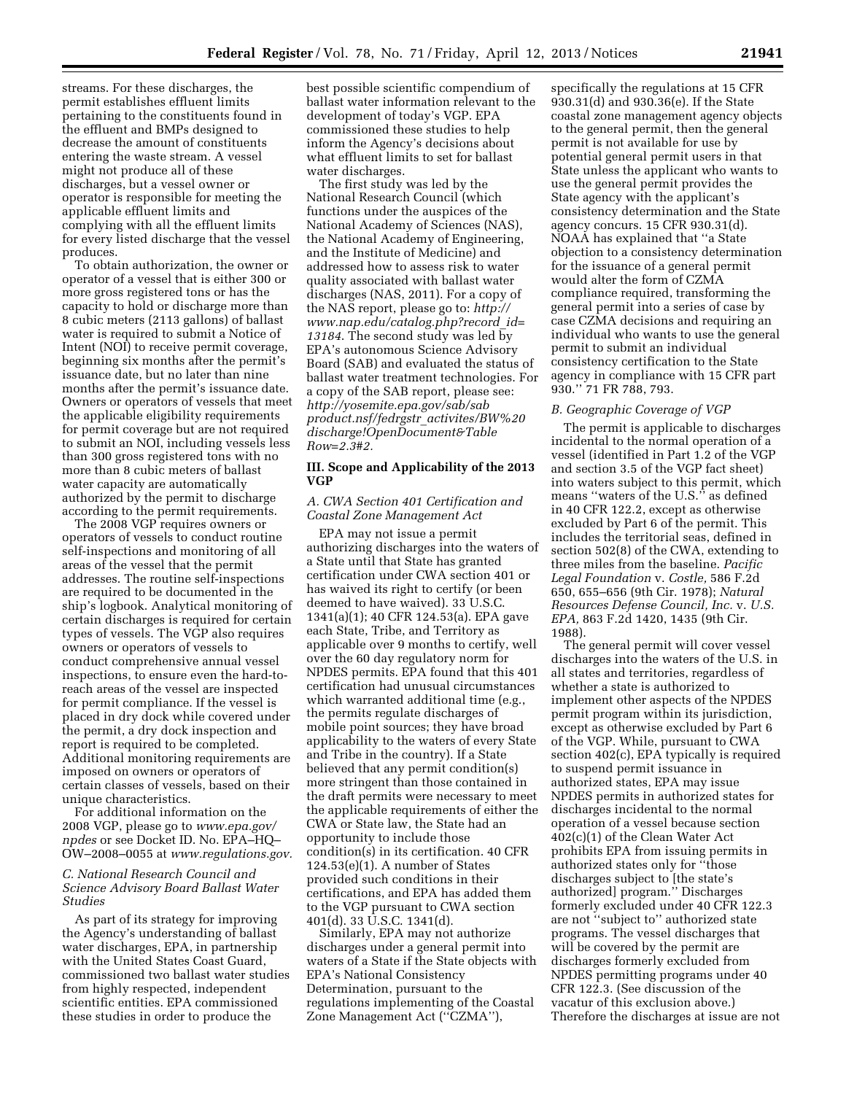streams. For these discharges, the permit establishes effluent limits pertaining to the constituents found in the effluent and BMPs designed to decrease the amount of constituents entering the waste stream. A vessel might not produce all of these discharges, but a vessel owner or operator is responsible for meeting the applicable effluent limits and complying with all the effluent limits for every listed discharge that the vessel produces.

To obtain authorization, the owner or operator of a vessel that is either 300 or more gross registered tons or has the capacity to hold or discharge more than 8 cubic meters (2113 gallons) of ballast water is required to submit a Notice of Intent (NOI) to receive permit coverage, beginning six months after the permit's issuance date, but no later than nine months after the permit's issuance date. Owners or operators of vessels that meet the applicable eligibility requirements for permit coverage but are not required to submit an NOI, including vessels less than 300 gross registered tons with no more than 8 cubic meters of ballast water capacity are automatically authorized by the permit to discharge according to the permit requirements.

The 2008 VGP requires owners or operators of vessels to conduct routine self-inspections and monitoring of all areas of the vessel that the permit addresses. The routine self-inspections are required to be documented in the ship's logbook. Analytical monitoring of certain discharges is required for certain types of vessels. The VGP also requires owners or operators of vessels to conduct comprehensive annual vessel inspections, to ensure even the hard-toreach areas of the vessel are inspected for permit compliance. If the vessel is placed in dry dock while covered under the permit, a dry dock inspection and report is required to be completed. Additional monitoring requirements are imposed on owners or operators of certain classes of vessels, based on their unique characteristics.

For additional information on the 2008 VGP, please go to *[www.epa.gov/](http://www.epa.gov/npdes)  [npdes](http://www.epa.gov/npdes)* or see Docket ID. No. EPA–HQ– OW–2008–0055 at *[www.regulations.gov.](http://www.regulations.gov)* 

### *C. National Research Council and Science Advisory Board Ballast Water Studies*

As part of its strategy for improving the Agency's understanding of ballast water discharges, EPA, in partnership with the United States Coast Guard, commissioned two ballast water studies from highly respected, independent scientific entities. EPA commissioned these studies in order to produce the

best possible scientific compendium of ballast water information relevant to the development of today's VGP. EPA commissioned these studies to help inform the Agency's decisions about what effluent limits to set for ballast water discharges.

The first study was led by the National Research Council (which functions under the auspices of the National Academy of Sciences (NAS), the National Academy of Engineering, and the Institute of Medicine) and addressed how to assess risk to water quality associated with ballast water discharges (NAS, 2011). For a copy of the NAS report, please go to: *[http://](http://www.nap.edu/catalog.php?record_id=13184) [www.nap.edu/catalog.php?record](http://www.nap.edu/catalog.php?record_id=13184)*\_*id= [13184](http://www.nap.edu/catalog.php?record_id=13184)*. The second study was led by EPA's autonomous Science Advisory Board (SAB) and evaluated the status of ballast water treatment technologies. For a copy of the SAB report, please see: *[http://yosemite.epa.gov/sab/sab](http://yosemite.epa.gov/sab/sabproduct.nsf/fedrgstr_activites/BW%20discharge!OpenDocument&TableRow=2.3#2) [product.nsf/fedrgstr](http://yosemite.epa.gov/sab/sabproduct.nsf/fedrgstr_activites/BW%20discharge!OpenDocument&TableRow=2.3#2)*\_*activites/BW%20 [discharge!OpenDocument&Table](http://yosemite.epa.gov/sab/sabproduct.nsf/fedrgstr_activites/BW%20discharge!OpenDocument&TableRow=2.3#2) [Row=2.3#2.](http://yosemite.epa.gov/sab/sabproduct.nsf/fedrgstr_activites/BW%20discharge!OpenDocument&TableRow=2.3#2)* 

# **III. Scope and Applicability of the 2013 VGP**

# *A. CWA Section 401 Certification and Coastal Zone Management Act*

EPA may not issue a permit authorizing discharges into the waters of a State until that State has granted certification under CWA section 401 or has waived its right to certify (or been deemed to have waived). 33 U.S.C. 1341(a)(1); 40 CFR 124.53(a). EPA gave each State, Tribe, and Territory as applicable over 9 months to certify, well over the 60 day regulatory norm for NPDES permits. EPA found that this 401 certification had unusual circumstances which warranted additional time (e.g., the permits regulate discharges of mobile point sources; they have broad applicability to the waters of every State and Tribe in the country). If a State believed that any permit condition(s) more stringent than those contained in the draft permits were necessary to meet the applicable requirements of either the CWA or State law, the State had an opportunity to include those condition(s) in its certification. 40 CFR 124.53(e)(1). A number of States provided such conditions in their certifications, and EPA has added them to the VGP pursuant to CWA section 401(d). 33 U.S.C. 1341(d).

Similarly, EPA may not authorize discharges under a general permit into waters of a State if the State objects with EPA's National Consistency Determination, pursuant to the regulations implementing of the Coastal Zone Management Act (''CZMA''),

specifically the regulations at 15 CFR 930.31(d) and 930.36(e). If the State coastal zone management agency objects to the general permit, then the general permit is not available for use by potential general permit users in that State unless the applicant who wants to use the general permit provides the State agency with the applicant's consistency determination and the State agency concurs. 15 CFR 930.31(d). NOAA has explained that ''a State objection to a consistency determination for the issuance of a general permit would alter the form of CZMA compliance required, transforming the general permit into a series of case by case CZMA decisions and requiring an individual who wants to use the general permit to submit an individual consistency certification to the State agency in compliance with 15 CFR part 930.'' 71 FR 788, 793.

# *B. Geographic Coverage of VGP*

The permit is applicable to discharges incidental to the normal operation of a vessel (identified in Part 1.2 of the VGP and section 3.5 of the VGP fact sheet) into waters subject to this permit, which means ''waters of the U.S.'' as defined in 40 CFR 122.2, except as otherwise excluded by Part 6 of the permit. This includes the territorial seas, defined in section 502(8) of the CWA, extending to three miles from the baseline. *Pacific Legal Foundation* v. *Costle,* 586 F.2d 650, 655–656 (9th Cir. 1978); *Natural Resources Defense Council, Inc.* v. *U.S. EPA,* 863 F.2d 1420, 1435 (9th Cir. 1988).

The general permit will cover vessel discharges into the waters of the U.S. in all states and territories, regardless of whether a state is authorized to implement other aspects of the NPDES permit program within its jurisdiction, except as otherwise excluded by Part 6 of the VGP. While, pursuant to CWA section 402(c), EPA typically is required to suspend permit issuance in authorized states, EPA may issue NPDES permits in authorized states for discharges incidental to the normal operation of a vessel because section 402(c)(1) of the Clean Water Act prohibits EPA from issuing permits in authorized states only for ''those discharges subject to [the state's authorized] program.'' Discharges formerly excluded under 40 CFR 122.3 are not ''subject to'' authorized state programs. The vessel discharges that will be covered by the permit are discharges formerly excluded from NPDES permitting programs under 40 CFR 122.3. (See discussion of the vacatur of this exclusion above.) Therefore the discharges at issue are not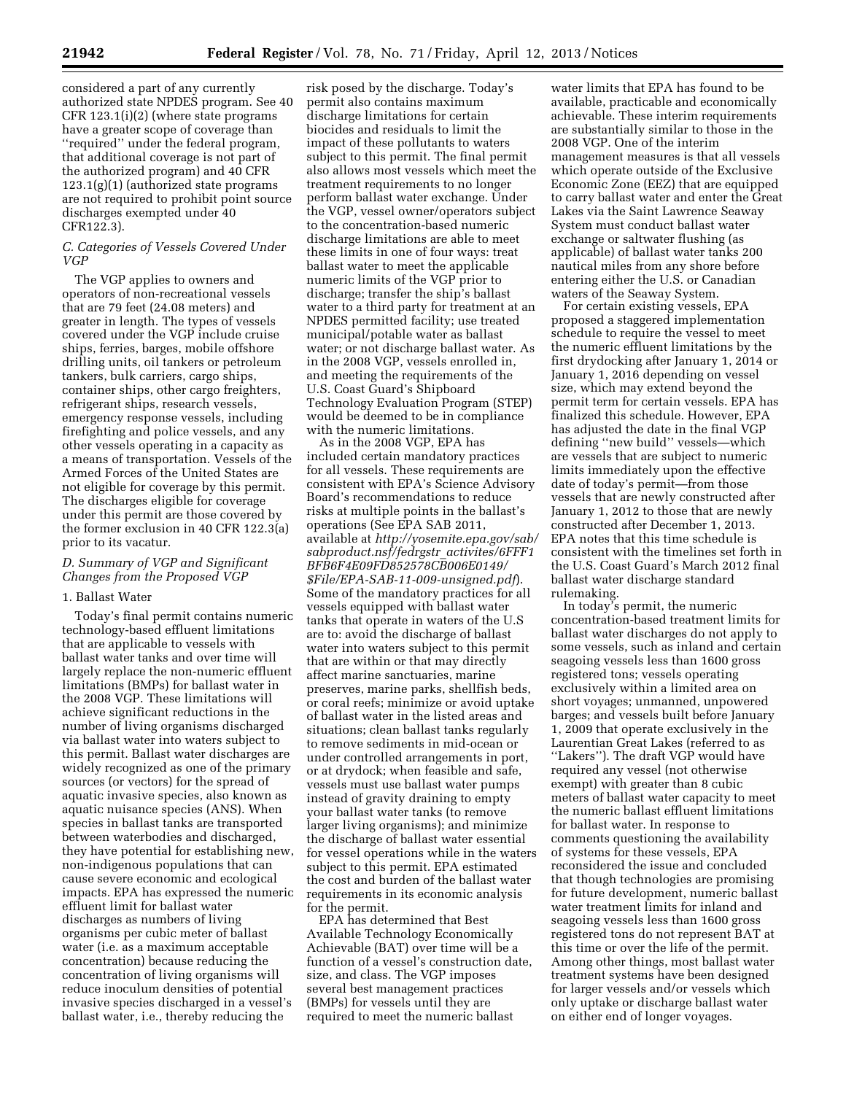considered a part of any currently authorized state NPDES program. See 40 CFR 123.1(i)(2) (where state programs have a greater scope of coverage than ''required'' under the federal program, that additional coverage is not part of the authorized program) and 40 CFR 123.1(g)(1) (authorized state programs are not required to prohibit point source discharges exempted under 40 CFR122.3).

## *C. Categories of Vessels Covered Under VGP*

The VGP applies to owners and operators of non-recreational vessels that are 79 feet (24.08 meters) and greater in length. The types of vessels covered under the VGP include cruise ships, ferries, barges, mobile offshore drilling units, oil tankers or petroleum tankers, bulk carriers, cargo ships, container ships, other cargo freighters, refrigerant ships, research vessels, emergency response vessels, including firefighting and police vessels, and any other vessels operating in a capacity as a means of transportation. Vessels of the Armed Forces of the United States are not eligible for coverage by this permit. The discharges eligible for coverage under this permit are those covered by the former exclusion in 40 CFR 122.3(a) prior to its vacatur.

# *D. Summary of VGP and Significant Changes from the Proposed VGP*

### 1. Ballast Water

Today's final permit contains numeric technology-based effluent limitations that are applicable to vessels with ballast water tanks and over time will largely replace the non-numeric effluent limitations (BMPs) for ballast water in the 2008 VGP. These limitations will achieve significant reductions in the number of living organisms discharged via ballast water into waters subject to this permit. Ballast water discharges are widely recognized as one of the primary sources (or vectors) for the spread of aquatic invasive species, also known as aquatic nuisance species (ANS). When species in ballast tanks are transported between waterbodies and discharged, they have potential for establishing new, non-indigenous populations that can cause severe economic and ecological impacts. EPA has expressed the numeric effluent limit for ballast water discharges as numbers of living organisms per cubic meter of ballast water (i.e. as a maximum acceptable concentration) because reducing the concentration of living organisms will reduce inoculum densities of potential invasive species discharged in a vessel's ballast water, i.e., thereby reducing the

risk posed by the discharge. Today's permit also contains maximum discharge limitations for certain biocides and residuals to limit the impact of these pollutants to waters subject to this permit. The final permit also allows most vessels which meet the treatment requirements to no longer perform ballast water exchange. Under the VGP, vessel owner/operators subject to the concentration-based numeric discharge limitations are able to meet these limits in one of four ways: treat ballast water to meet the applicable numeric limits of the VGP prior to discharge; transfer the ship's ballast water to a third party for treatment at an NPDES permitted facility; use treated municipal/potable water as ballast water; or not discharge ballast water. As in the 2008 VGP, vessels enrolled in, and meeting the requirements of the U.S. Coast Guard's Shipboard Technology Evaluation Program (STEP) would be deemed to be in compliance with the numeric limitations.

As in the 2008 VGP, EPA has included certain mandatory practices for all vessels. These requirements are consistent with EPA's Science Advisory Board's recommendations to reduce risks at multiple points in the ballast's operations (See EPA SAB 2011, available at *[http://yosemite.epa.gov/sab/](http://yosemite.epa.gov/sab/sabproduct.nsf/fedrgstr_activites/6FFF1BFB6F4E09FD852578CB006E0149/$File/EPA-SAB-11-009-unsigned.pdf)  [sabproduct.nsf/fedrgstr](http://yosemite.epa.gov/sab/sabproduct.nsf/fedrgstr_activites/6FFF1BFB6F4E09FD852578CB006E0149/$File/EPA-SAB-11-009-unsigned.pdf)*\_*activites/6FFF1 [BFB6F4E09FD852578CB006E0149/](http://yosemite.epa.gov/sab/sabproduct.nsf/fedrgstr_activites/6FFF1BFB6F4E09FD852578CB006E0149/$File/EPA-SAB-11-009-unsigned.pdf)  [\\$File/EPA-SAB-11-009-unsigned.pdf](http://yosemite.epa.gov/sab/sabproduct.nsf/fedrgstr_activites/6FFF1BFB6F4E09FD852578CB006E0149/$File/EPA-SAB-11-009-unsigned.pdf)*). Some of the mandatory practices for all vessels equipped with ballast water tanks that operate in waters of the U.S are to: avoid the discharge of ballast water into waters subject to this permit that are within or that may directly affect marine sanctuaries, marine preserves, marine parks, shellfish beds, or coral reefs; minimize or avoid uptake of ballast water in the listed areas and situations; clean ballast tanks regularly to remove sediments in mid-ocean or under controlled arrangements in port, or at drydock; when feasible and safe, vessels must use ballast water pumps instead of gravity draining to empty your ballast water tanks (to remove larger living organisms); and minimize the discharge of ballast water essential for vessel operations while in the waters subject to this permit. EPA estimated the cost and burden of the ballast water requirements in its economic analysis for the permit.

EPA has determined that Best Available Technology Economically Achievable (BAT) over time will be a function of a vessel's construction date, size, and class. The VGP imposes several best management practices (BMPs) for vessels until they are required to meet the numeric ballast

water limits that EPA has found to be available, practicable and economically achievable. These interim requirements are substantially similar to those in the 2008 VGP. One of the interim management measures is that all vessels which operate outside of the Exclusive Economic Zone (EEZ) that are equipped to carry ballast water and enter the Great Lakes via the Saint Lawrence Seaway System must conduct ballast water exchange or saltwater flushing (as applicable) of ballast water tanks 200 nautical miles from any shore before entering either the U.S. or Canadian waters of the Seaway System.

For certain existing vessels, EPA proposed a staggered implementation schedule to require the vessel to meet the numeric effluent limitations by the first drydocking after January 1, 2014 or January 1, 2016 depending on vessel size, which may extend beyond the permit term for certain vessels. EPA has finalized this schedule. However, EPA has adjusted the date in the final VGP defining ''new build'' vessels—which are vessels that are subject to numeric limits immediately upon the effective date of today's permit—from those vessels that are newly constructed after January 1, 2012 to those that are newly constructed after December 1, 2013. EPA notes that this time schedule is consistent with the timelines set forth in the U.S. Coast Guard's March 2012 final ballast water discharge standard rulemaking.

In today's permit, the numeric concentration-based treatment limits for ballast water discharges do not apply to some vessels, such as inland and certain seagoing vessels less than 1600 gross registered tons; vessels operating exclusively within a limited area on short voyages; unmanned, unpowered barges; and vessels built before January 1, 2009 that operate exclusively in the Laurentian Great Lakes (referred to as ''Lakers''). The draft VGP would have required any vessel (not otherwise exempt) with greater than 8 cubic meters of ballast water capacity to meet the numeric ballast effluent limitations for ballast water. In response to comments questioning the availability of systems for these vessels, EPA reconsidered the issue and concluded that though technologies are promising for future development, numeric ballast water treatment limits for inland and seagoing vessels less than 1600 gross registered tons do not represent BAT at this time or over the life of the permit. Among other things, most ballast water treatment systems have been designed for larger vessels and/or vessels which only uptake or discharge ballast water on either end of longer voyages.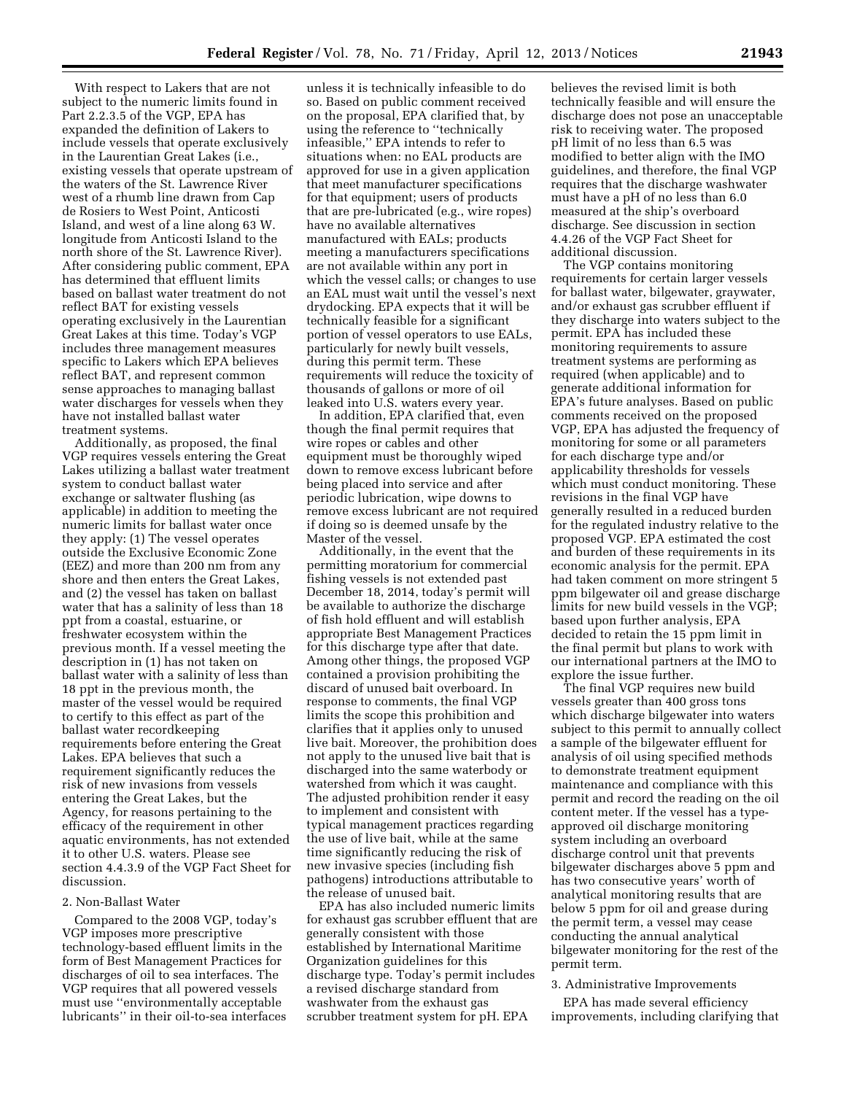With respect to Lakers that are not subject to the numeric limits found in Part 2.2.3.5 of the VGP, EPA has expanded the definition of Lakers to include vessels that operate exclusively in the Laurentian Great Lakes (i.e., existing vessels that operate upstream of the waters of the St. Lawrence River west of a rhumb line drawn from Cap de Rosiers to West Point, Anticosti Island, and west of a line along 63 W. longitude from Anticosti Island to the north shore of the St. Lawrence River). After considering public comment, EPA has determined that effluent limits based on ballast water treatment do not reflect BAT for existing vessels operating exclusively in the Laurentian Great Lakes at this time. Today's VGP includes three management measures specific to Lakers which EPA believes reflect BAT, and represent common sense approaches to managing ballast water discharges for vessels when they have not installed ballast water treatment systems.

Additionally, as proposed, the final VGP requires vessels entering the Great Lakes utilizing a ballast water treatment system to conduct ballast water exchange or saltwater flushing (as applicable) in addition to meeting the numeric limits for ballast water once they apply: (1) The vessel operates outside the Exclusive Economic Zone (EEZ) and more than 200 nm from any shore and then enters the Great Lakes, and (2) the vessel has taken on ballast water that has a salinity of less than 18 ppt from a coastal, estuarine, or freshwater ecosystem within the previous month. If a vessel meeting the description in (1) has not taken on ballast water with a salinity of less than 18 ppt in the previous month, the master of the vessel would be required to certify to this effect as part of the ballast water recordkeeping requirements before entering the Great Lakes. EPA believes that such a requirement significantly reduces the risk of new invasions from vessels entering the Great Lakes, but the Agency, for reasons pertaining to the efficacy of the requirement in other aquatic environments, has not extended it to other U.S. waters. Please see section 4.4.3.9 of the VGP Fact Sheet for discussion.

#### 2. Non-Ballast Water

Compared to the 2008 VGP, today's VGP imposes more prescriptive technology-based effluent limits in the form of Best Management Practices for discharges of oil to sea interfaces. The VGP requires that all powered vessels must use ''environmentally acceptable lubricants'' in their oil-to-sea interfaces

unless it is technically infeasible to do so. Based on public comment received on the proposal, EPA clarified that, by using the reference to ''technically infeasible,'' EPA intends to refer to situations when: no EAL products are approved for use in a given application that meet manufacturer specifications for that equipment; users of products that are pre-lubricated (e.g., wire ropes) have no available alternatives manufactured with EALs; products meeting a manufacturers specifications are not available within any port in which the vessel calls; or changes to use an EAL must wait until the vessel's next drydocking. EPA expects that it will be technically feasible for a significant portion of vessel operators to use EALs, particularly for newly built vessels, during this permit term. These requirements will reduce the toxicity of thousands of gallons or more of oil leaked into U.S. waters every year.

In addition, EPA clarified that, even though the final permit requires that wire ropes or cables and other equipment must be thoroughly wiped down to remove excess lubricant before being placed into service and after periodic lubrication, wipe downs to remove excess lubricant are not required if doing so is deemed unsafe by the Master of the vessel.

Additionally, in the event that the permitting moratorium for commercial fishing vessels is not extended past December 18, 2014, today's permit will be available to authorize the discharge of fish hold effluent and will establish appropriate Best Management Practices for this discharge type after that date. Among other things, the proposed VGP contained a provision prohibiting the discard of unused bait overboard. In response to comments, the final VGP limits the scope this prohibition and clarifies that it applies only to unused live bait. Moreover, the prohibition does not apply to the unused live bait that is discharged into the same waterbody or watershed from which it was caught. The adjusted prohibition render it easy to implement and consistent with typical management practices regarding the use of live bait, while at the same time significantly reducing the risk of new invasive species (including fish pathogens) introductions attributable to the release of unused bait.

EPA has also included numeric limits for exhaust gas scrubber effluent that are generally consistent with those established by International Maritime Organization guidelines for this discharge type. Today's permit includes a revised discharge standard from washwater from the exhaust gas scrubber treatment system for pH. EPA

believes the revised limit is both technically feasible and will ensure the discharge does not pose an unacceptable risk to receiving water. The proposed pH limit of no less than 6.5 was modified to better align with the IMO guidelines, and therefore, the final VGP requires that the discharge washwater must have a pH of no less than 6.0 measured at the ship's overboard discharge. See discussion in section 4.4.26 of the VGP Fact Sheet for additional discussion.

The VGP contains monitoring requirements for certain larger vessels for ballast water, bilgewater, graywater, and/or exhaust gas scrubber effluent if they discharge into waters subject to the permit. EPA has included these monitoring requirements to assure treatment systems are performing as required (when applicable) and to generate additional information for EPA's future analyses. Based on public comments received on the proposed VGP, EPA has adjusted the frequency of monitoring for some or all parameters for each discharge type and/or applicability thresholds for vessels which must conduct monitoring. These revisions in the final VGP have generally resulted in a reduced burden for the regulated industry relative to the proposed VGP. EPA estimated the cost and burden of these requirements in its economic analysis for the permit. EPA had taken comment on more stringent 5 ppm bilgewater oil and grease discharge limits for new build vessels in the VGP; based upon further analysis, EPA decided to retain the 15 ppm limit in the final permit but plans to work with our international partners at the IMO to explore the issue further.

The final VGP requires new build vessels greater than 400 gross tons which discharge bilgewater into waters subject to this permit to annually collect a sample of the bilgewater effluent for analysis of oil using specified methods to demonstrate treatment equipment maintenance and compliance with this permit and record the reading on the oil content meter. If the vessel has a typeapproved oil discharge monitoring system including an overboard discharge control unit that prevents bilgewater discharges above 5 ppm and has two consecutive years' worth of analytical monitoring results that are below 5 ppm for oil and grease during the permit term, a vessel may cease conducting the annual analytical bilgewater monitoring for the rest of the permit term.

#### 3. Administrative Improvements

EPA has made several efficiency improvements, including clarifying that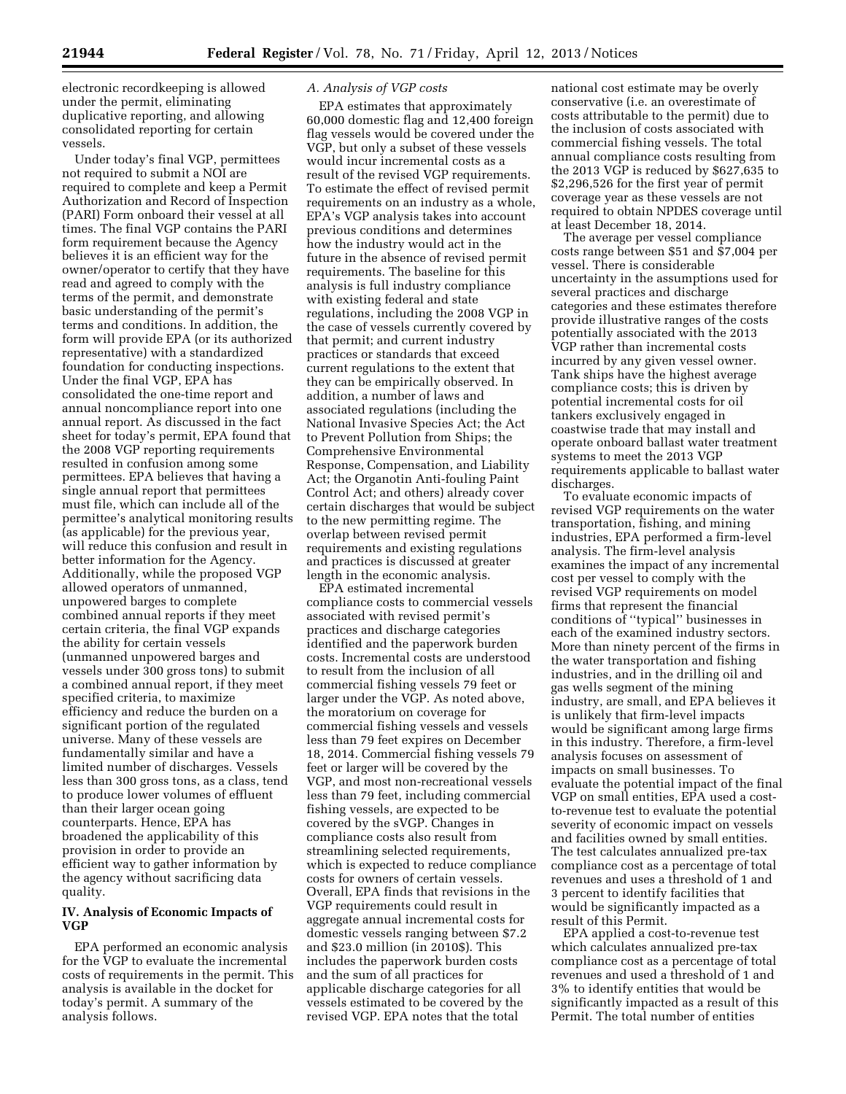electronic recordkeeping is allowed under the permit, eliminating duplicative reporting, and allowing consolidated reporting for certain vessels.

Under today's final VGP, permittees not required to submit a NOI are required to complete and keep a Permit Authorization and Record of Inspection (PARI) Form onboard their vessel at all times. The final VGP contains the PARI form requirement because the Agency believes it is an efficient way for the owner/operator to certify that they have read and agreed to comply with the terms of the permit, and demonstrate basic understanding of the permit's terms and conditions. In addition, the form will provide EPA (or its authorized representative) with a standardized foundation for conducting inspections. Under the final VGP, EPA has consolidated the one-time report and annual noncompliance report into one annual report. As discussed in the fact sheet for today's permit, EPA found that the 2008 VGP reporting requirements resulted in confusion among some permittees. EPA believes that having a single annual report that permittees must file, which can include all of the permittee's analytical monitoring results (as applicable) for the previous year, will reduce this confusion and result in better information for the Agency. Additionally, while the proposed VGP allowed operators of unmanned, unpowered barges to complete combined annual reports if they meet certain criteria, the final VGP expands the ability for certain vessels (unmanned unpowered barges and vessels under 300 gross tons) to submit a combined annual report, if they meet specified criteria, to maximize efficiency and reduce the burden on a significant portion of the regulated universe. Many of these vessels are fundamentally similar and have a limited number of discharges. Vessels less than 300 gross tons, as a class, tend to produce lower volumes of effluent than their larger ocean going counterparts. Hence, EPA has broadened the applicability of this provision in order to provide an efficient way to gather information by the agency without sacrificing data quality.

## **IV. Analysis of Economic Impacts of VGP**

EPA performed an economic analysis for the VGP to evaluate the incremental costs of requirements in the permit. This analysis is available in the docket for today's permit. A summary of the analysis follows.

### *A. Analysis of VGP costs*

EPA estimates that approximately 60,000 domestic flag and 12,400 foreign flag vessels would be covered under the VGP, but only a subset of these vessels would incur incremental costs as a result of the revised VGP requirements. To estimate the effect of revised permit requirements on an industry as a whole, EPA's VGP analysis takes into account previous conditions and determines how the industry would act in the future in the absence of revised permit requirements. The baseline for this analysis is full industry compliance with existing federal and state regulations, including the 2008 VGP in the case of vessels currently covered by that permit; and current industry practices or standards that exceed current regulations to the extent that they can be empirically observed. In addition, a number of laws and associated regulations (including the National Invasive Species Act; the Act to Prevent Pollution from Ships; the Comprehensive Environmental Response, Compensation, and Liability Act; the Organotin Anti-fouling Paint Control Act; and others) already cover certain discharges that would be subject to the new permitting regime. The overlap between revised permit requirements and existing regulations and practices is discussed at greater length in the economic analysis.

EPA estimated incremental compliance costs to commercial vessels associated with revised permit's practices and discharge categories identified and the paperwork burden costs. Incremental costs are understood to result from the inclusion of all commercial fishing vessels 79 feet or larger under the VGP. As noted above, the moratorium on coverage for commercial fishing vessels and vessels less than 79 feet expires on December 18, 2014. Commercial fishing vessels 79 feet or larger will be covered by the VGP, and most non-recreational vessels less than 79 feet, including commercial fishing vessels, are expected to be covered by the sVGP. Changes in compliance costs also result from streamlining selected requirements, which is expected to reduce compliance costs for owners of certain vessels. Overall, EPA finds that revisions in the VGP requirements could result in aggregate annual incremental costs for domestic vessels ranging between \$7.2 and \$23.0 million (in 2010\$). This includes the paperwork burden costs and the sum of all practices for applicable discharge categories for all vessels estimated to be covered by the revised VGP. EPA notes that the total

national cost estimate may be overly conservative (i.e. an overestimate of costs attributable to the permit) due to the inclusion of costs associated with commercial fishing vessels. The total annual compliance costs resulting from the 2013 VGP is reduced by \$627,635 to \$2,296,526 for the first year of permit coverage year as these vessels are not required to obtain NPDES coverage until at least December 18, 2014.

The average per vessel compliance costs range between \$51 and \$7,004 per vessel. There is considerable uncertainty in the assumptions used for several practices and discharge categories and these estimates therefore provide illustrative ranges of the costs potentially associated with the 2013 VGP rather than incremental costs incurred by any given vessel owner. Tank ships have the highest average compliance costs; this is driven by potential incremental costs for oil tankers exclusively engaged in coastwise trade that may install and operate onboard ballast water treatment systems to meet the 2013 VGP requirements applicable to ballast water discharges.

To evaluate economic impacts of revised VGP requirements on the water transportation, fishing, and mining industries, EPA performed a firm-level analysis. The firm-level analysis examines the impact of any incremental cost per vessel to comply with the revised VGP requirements on model firms that represent the financial conditions of ''typical'' businesses in each of the examined industry sectors. More than ninety percent of the firms in the water transportation and fishing industries, and in the drilling oil and gas wells segment of the mining industry, are small, and EPA believes it is unlikely that firm-level impacts would be significant among large firms in this industry. Therefore, a firm-level analysis focuses on assessment of impacts on small businesses. To evaluate the potential impact of the final VGP on small entities, EPA used a costto-revenue test to evaluate the potential severity of economic impact on vessels and facilities owned by small entities. The test calculates annualized pre-tax compliance cost as a percentage of total revenues and uses a threshold of 1 and 3 percent to identify facilities that would be significantly impacted as a result of this Permit.

EPA applied a cost-to-revenue test which calculates annualized pre-tax compliance cost as a percentage of total revenues and used a threshold of 1 and 3% to identify entities that would be significantly impacted as a result of this Permit. The total number of entities